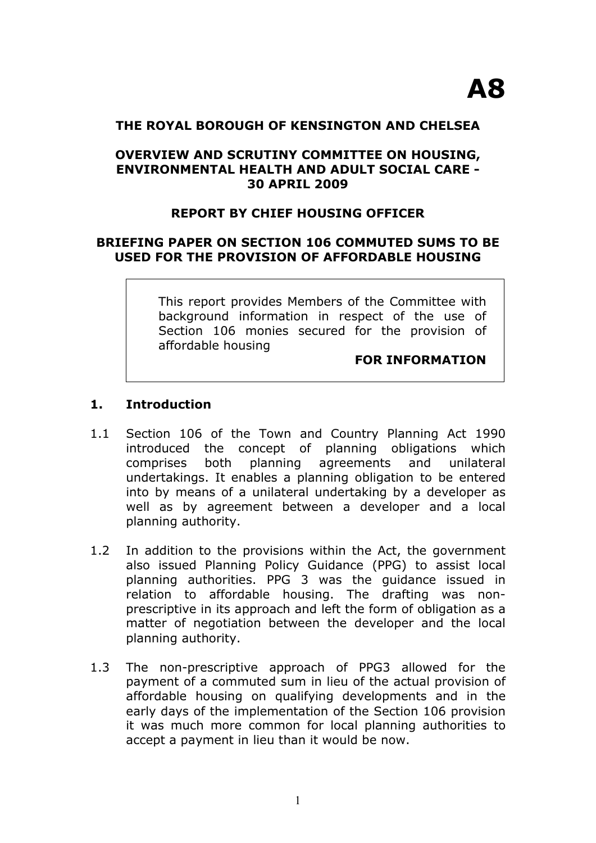#### **THE ROYAL BOROUGH OF KENSINGTON AND CHELSEA**

### **OVERVIEW AND SCRUTINY COMMITTEE ON HOUSING, ENVIRONMENTAL HEALTH AND ADULT SOCIAL CARE - 30 APRIL 2009**

# **REPORT BY CHIEF HOUSING OFFICER**

### **BRIEFING PAPER ON SECTION 106 COMMUTED SUMS TO BE USED FOR THE PROVISION OF AFFORDABLE HOUSING**

This report provides Members of the Committee with background information in respect of the use of Section 106 monies secured for the provision of affordable housing

#### **FOR INFORMATION**

#### **1. Introduction**

- 1.1 Section 106 of the Town and Country Planning Act 1990 introduced the concept of planning obligations which comprises both planning agreements and unilateral undertakings. It enables a planning obligation to be entered into by means of a unilateral undertaking by a developer as well as by agreement between a developer and a local planning authority.
- 1.2 In addition to the provisions within the Act, the government also issued Planning Policy Guidance (PPG) to assist local planning authorities. PPG 3 was the guidance issued in relation to affordable housing. The drafting was nonprescriptive in its approach and left the form of obligation as a matter of negotiation between the developer and the local planning authority.
- 1.3 The non-prescriptive approach of PPG3 allowed for the payment of a commuted sum in lieu of the actual provision of affordable housing on qualifying developments and in the early days of the implementation of the Section 106 provision it was much more common for local planning authorities to accept a payment in lieu than it would be now.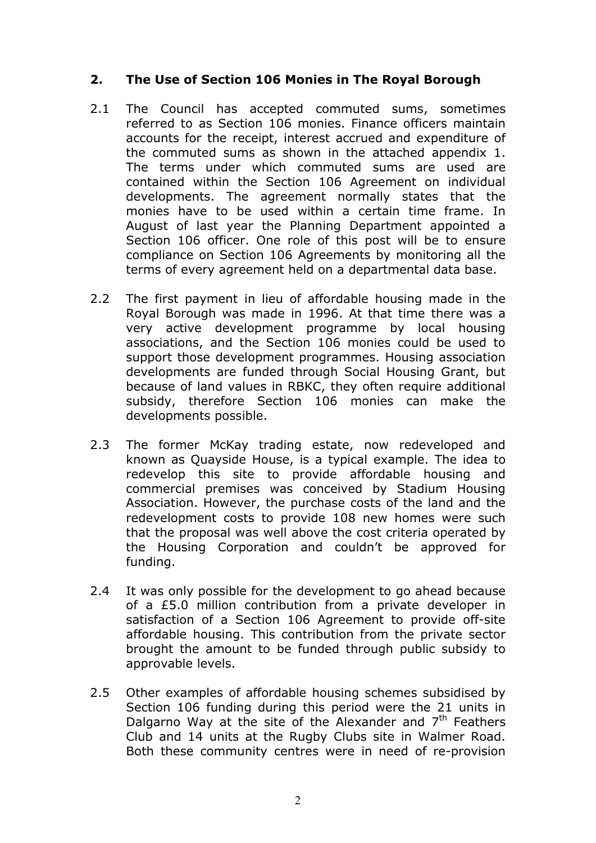# **2. The Use of Section 106 Monies in The Royal Borough**

- 2.1 The Council has accepted commuted sums, sometimes referred to as Section 106 monies. Finance officers maintain accounts for the receipt, interest accrued and expenditure of the commuted sums as shown in the attached appendix 1. The terms under which commuted sums are used are contained within the Section 106 Agreement on individual developments. The agreement normally states that the monies have to be used within a certain time frame. In August of last year the Planning Department appointed a Section 106 officer. One role of this post will be to ensure compliance on Section 106 Agreements by monitoring all the terms of every agreement held on a departmental data base.
- 2.2 The first payment in lieu of affordable housing made in the Royal Borough was made in 1996. At that time there was a very active development programme by local housing associations, and the Section 106 monies could be used to support those development programmes. Housing association developments are funded through Social Housing Grant, but because of land values in RBKC, they often require additional subsidy, therefore Section 106 monies can make the developments possible.
- 2.3 The former McKay trading estate, now redeveloped and known as Quayside House, is a typical example. The idea to redevelop this site to provide affordable housing and commercial premises was conceived by Stadium Housing Association. However, the purchase costs of the land and the redevelopment costs to provide 108 new homes were such that the proposal was well above the cost criteria operated by the Housing Corporation and couldn't be approved for funding.
- 2.4 It was only possible for the development to go ahead because of a £5.0 million contribution from a private developer in satisfaction of a Section 106 Agreement to provide off-site affordable housing. This contribution from the private sector brought the amount to be funded through public subsidy to approvable levels.
- 2.5 Other examples of affordable housing schemes subsidised by Section 106 funding during this period were the 21 units in Dalgarno Way at the site of the Alexander and  $7<sup>th</sup>$  Feathers Club and 14 units at the Rugby Clubs site in Walmer Road. Both these community centres were in need of re-provision